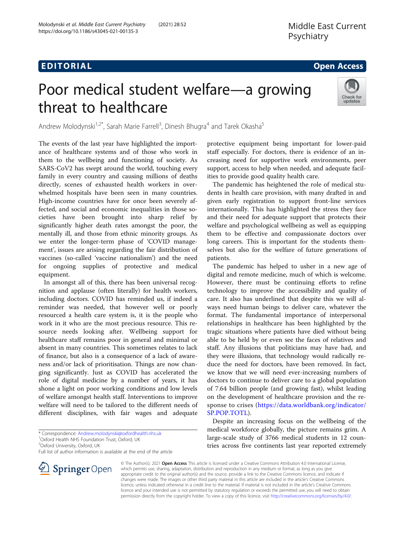# EDI TORIA L Open Access

# Poor medical student welfare—a growing threat to healthcare



Andrew Molodynski<sup>1,2\*</sup>, Sarah Marie Farrell<sup>3</sup>, Dinesh Bhugra<sup>4</sup> and Tarek Okasha<sup>5</sup>

The events of the last year have highlighted the importance of healthcare systems and of those who work in them to the wellbeing and functioning of society. As SARS-CoV2 has swept around the world, touching every family in every country and causing millions of deaths directly, scenes of exhausted health workers in overwhelmed hospitals have been seen in many countries. High-income countries have for once been severely affected, and social and economic inequalities in those societies have been brought into sharp relief by significantly higher death rates amongst the poor, the mentally ill, and those from ethnic minority groups. As we enter the longer-term phase of 'COVID management', issues are arising regarding the fair distribution of vaccines (so-called 'vaccine nationalism') and the need for ongoing supplies of protective and medical equipment.

In amongst all of this, there has been universal recognition and applause (often literally) for health workers, including doctors. COVID has reminded us, if indeed a reminder was needed, that however well or poorly resourced a health care system is, it is the people who work in it who are the most precious resource. This resource needs looking after. Wellbeing support for healthcare staff remains poor in general and minimal or absent in many countries. This sometimes relates to lack of finance, but also is a consequence of a lack of awareness and/or lack of prioritisation. Things are now changing significantly. Just as COVID has accelerated the role of digital medicine by a number of years, it has shone a light on poor working conditions and low levels of welfare amongst health staff. Interventions to improve welfare will need to be tailored to the different needs of different disciplines, with fair wages and adequate

<sup>1</sup>Oxford Health NHS Foundation Trust, Oxford, UK

Full list of author information is available at the end of the article



The pandemic has heightened the role of medical students in health care provision, with many drafted in and given early registration to support front-line services internationally. This has highlighted the stress they face and their need for adequate support that protects their welfare and psychological wellbeing as well as equipping them to be effective and compassionate doctors over long careers. This is important for the students themselves but also for the welfare of future generations of patients.

The pandemic has helped to usher in a new age of digital and remote medicine, much of which is welcome. However, there must be continuing efforts to refine technology to improve the accessibility and quality of care. It also has underlined that despite this we will always need human beings to deliver care, whatever the format. The fundamental importance of interpersonal relationships in healthcare has been highlighted by the tragic situations where patients have died without being able to be held by or even see the faces of relatives and staff. Any illusions that politicians may have had, and they were illusions, that technology would radically reduce the need for doctors, have been removed. In fact, we know that we will need ever-increasing numbers of doctors to continue to deliver care to a global population of 7.64 billion people (and growing fast), whilst leading on the development of healthcare provision and the response to crises ([https://data.worldbank.org/indicator/](https://data.worldbank.org/indicator/SP.POP.TOTL) [SP.POP.TOTL\)](https://data.worldbank.org/indicator/SP.POP.TOTL).

Despite an increasing focus on the wellbeing of the medical workforce globally, the picture remains grim. A large-scale study of 3766 medical students in 12 countries across five continents last year reported extremely



© The Author(s). 2021 Open Access This article is licensed under a Creative Commons Attribution 4.0 International License, which permits use, sharing, adaptation, distribution and reproduction in any medium or format, as long as you give appropriate credit to the original author(s) and the source, provide a link to the Creative Commons licence, and indicate if changes were made. The images or other third party material in this article are included in the article's Creative Commons licence, unless indicated otherwise in a credit line to the material. If material is not included in the article's Creative Commons licence and your intended use is not permitted by statutory regulation or exceeds the permitted use, you will need to obtain permission directly from the copyright holder. To view a copy of this licence, visit <http://creativecommons.org/licenses/by/4.0/>.

<sup>\*</sup> Correspondence: [Andrew.molodynski@oxfordhealth.nhs.uk](mailto:Andrew.molodynski@oxfordhealth.nhs.uk) <sup>1</sup>

<sup>&</sup>lt;sup>2</sup>Oxford University, Oxford, UK